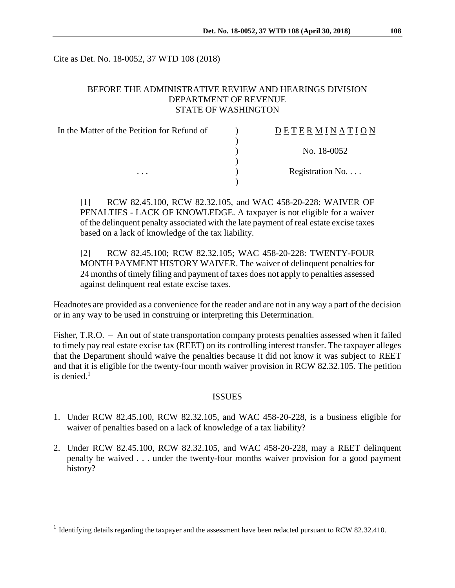Cite as Det. No. 18-0052, 37 WTD 108 (2018)

### BEFORE THE ADMINISTRATIVE REVIEW AND HEARINGS DIVISION DEPARTMENT OF REVENUE STATE OF WASHINGTON

| In the Matter of the Petition for Refund of<br>$\cdots$ | DETERMINATION   |
|---------------------------------------------------------|-----------------|
|                                                         |                 |
|                                                         | No. 18-0052     |
|                                                         | Registration No |
|                                                         |                 |

[1] RCW 82.45.100, RCW 82.32.105, and WAC 458-20-228: WAIVER OF PENALTIES - LACK OF KNOWLEDGE. A taxpayer is not eligible for a waiver of the delinquent penalty associated with the late payment of real estate excise taxes based on a lack of knowledge of the tax liability.

[2] RCW 82.45.100; RCW 82.32.105; WAC 458-20-228: TWENTY-FOUR MONTH PAYMENT HISTORY WAIVER. The waiver of delinquent penalties for 24 months of timely filing and payment of taxes does not apply to penalties assessed against delinquent real estate excise taxes.

Headnotes are provided as a convenience for the reader and are not in any way a part of the decision or in any way to be used in construing or interpreting this Determination.

Fisher, T.R.O. – An out of state transportation company protests penalties assessed when it failed to timely pay real estate excise tax (REET) on its controlling interest transfer. The taxpayer alleges that the Department should waive the penalties because it did not know it was subject to REET and that it is eligible for the twenty-four month waiver provision in RCW 82.32.105. The petition is denied. 1

### ISSUES

- 1. Under RCW 82.45.100, RCW 82.32.105, and WAC 458-20-228, is a business eligible for waiver of penalties based on a lack of knowledge of a tax liability?
- 2. Under RCW 82.45.100, RCW 82.32.105, and WAC 458-20-228, may a REET delinquent penalty be waived . . . under the twenty-four months waiver provision for a good payment history?

 $\overline{a}$ 

<sup>&</sup>lt;sup>1</sup> Identifying details regarding the taxpayer and the assessment have been redacted pursuant to RCW 82.32.410.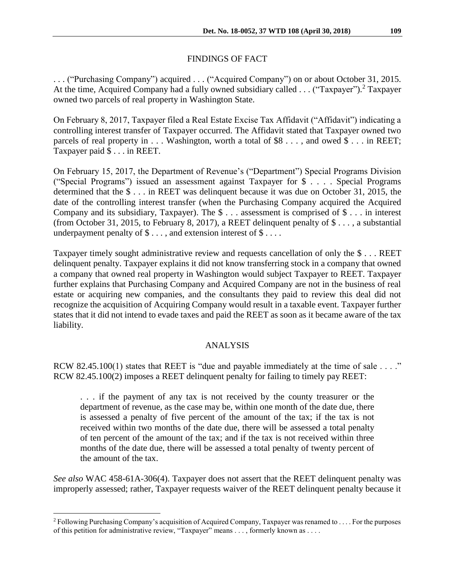# FINDINGS OF FACT

. . . ("Purchasing Company") acquired . . . ("Acquired Company") on or about October 31, 2015. At the time, Acquired Company had a fully owned subsidiary called  $\ldots$  ("Taxpayer").<sup>2</sup> Taxpayer owned two parcels of real property in Washington State.

On February 8, 2017, Taxpayer filed a Real Estate Excise Tax Affidavit ("Affidavit") indicating a controlling interest transfer of Taxpayer occurred. The Affidavit stated that Taxpayer owned two parcels of real property in . . . Washington, worth a total of \$8 . . . , and owed \$ . . . in REET; Taxpayer paid \$ . . . in REET.

On February 15, 2017, the Department of Revenue's ("Department") Special Programs Division ("Special Programs") issued an assessment against Taxpayer for \$ . . . . Special Programs determined that the \$ . . . in REET was delinquent because it was due on October 31, 2015, the date of the controlling interest transfer (when the Purchasing Company acquired the Acquired Company and its subsidiary, Taxpayer). The \$ . . . assessment is comprised of \$ . . . in interest (from October 31, 2015, to February 8, 2017), a REET delinquent penalty of \$ . . . , a substantial underpayment penalty of  $\$\dots$ , and extension interest of  $\$\dots$ .

Taxpayer timely sought administrative review and requests cancellation of only the \$ . . . REET delinquent penalty. Taxpayer explains it did not know transferring stock in a company that owned a company that owned real property in Washington would subject Taxpayer to REET. Taxpayer further explains that Purchasing Company and Acquired Company are not in the business of real estate or acquiring new companies, and the consultants they paid to review this deal did not recognize the acquisition of Acquiring Company would result in a taxable event. Taxpayer further states that it did not intend to evade taxes and paid the REET as soon as it became aware of the tax liability.

## ANALYSIS

RCW 82.45.100(1) states that REET is "due and payable immediately at the time of sale . . . ." RCW 82.45.100(2) imposes a REET delinquent penalty for failing to timely pay REET:

. . . if the payment of any tax is not received by the county treasurer or the department of revenue, as the case may be, within one month of the date due, there is assessed a penalty of five percent of the amount of the tax; if the tax is not received within two months of the date due, there will be assessed a total penalty of ten percent of the amount of the tax; and if the tax is not received within three months of the date due, there will be assessed a total penalty of twenty percent of the amount of the tax.

*See also* WAC 458-61A-306(4). Taxpayer does not assert that the REET delinquent penalty was improperly assessed; rather, Taxpayer requests waiver of the REET delinquent penalty because it

 $\overline{a}$ 

<sup>2</sup> Following Purchasing Company's acquisition of Acquired Company, Taxpayer was renamed to . . . . For the purposes of this petition for administrative review, "Taxpayer" means . . . , formerly known as . . . .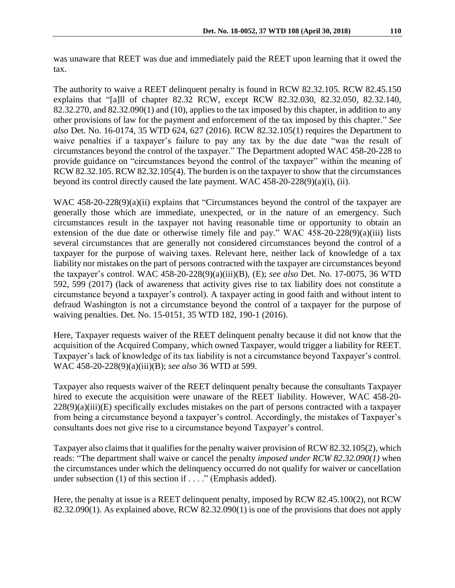was unaware that REET was due and immediately paid the REET upon learning that it owed the tax.

The authority to waive a REET delinquent penalty is found in RCW 82.32.105. RCW 82.45.150 explains that "[a]ll of chapter 82.32 RCW, except RCW 82.32.030, 82.32.050, 82.32.140, 82.32.270, and 82.32.090(1) and (10), applies to the tax imposed by this chapter, in addition to any other provisions of law for the payment and enforcement of the tax imposed by this chapter." *See also* Det. No. 16-0174, 35 WTD 624, 627 (2016). RCW 82.32.105(1) requires the Department to waive penalties if a taxpayer's failure to pay any tax by the due date "was the result of circumstances beyond the control of the taxpayer." The Department adopted WAC 458-20-228 to provide guidance on "circumstances beyond the control of the taxpayer" within the meaning of RCW 82.32.105. RCW 82.32.105(4). The burden is on the taxpayer to show that the circumstances beyond its control directly caused the late payment. WAC 458-20-228(9)(a)(i), (ii).

WAC 458-20-228(9)(a)(ii) explains that "Circumstances beyond the control of the taxpayer are generally those which are immediate, unexpected, or in the nature of an emergency. Such circumstances result in the taxpayer not having reasonable time or opportunity to obtain an extension of the due date or otherwise timely file and pay." WAC  $458-20-228(9)(a)(iii)$  lists several circumstances that are generally not considered circumstances beyond the control of a taxpayer for the purpose of waiving taxes. Relevant here, neither lack of knowledge of a tax liability nor mistakes on the part of persons contracted with the taxpayer are circumstances beyond the taxpayer's control. WAC 458-20-228(9)(a)(iii)(B), (E); *see also* Det. No. 17-0075, 36 WTD 592, 599 (2017) (lack of awareness that activity gives rise to tax liability does not constitute a circumstance beyond a taxpayer's control). A taxpayer acting in good faith and without intent to defraud Washington is not a circumstance beyond the control of a taxpayer for the purpose of waiving penalties. Det. No. 15-0151, 35 WTD 182, 190-1 (2016).

Here, Taxpayer requests waiver of the REET delinquent penalty because it did not know that the acquisition of the Acquired Company, which owned Taxpayer, would trigger a liability for REET. Taxpayer's lack of knowledge of its tax liability is not a circumstance beyond Taxpayer's control. WAC 458-20-228(9)(a)(iii)(B); *see also* 36 WTD at 599.

Taxpayer also requests waiver of the REET delinquent penalty because the consultants Taxpayer hired to execute the acquisition were unaware of the REET liability. However, WAC 458-20-  $228(9)(a)(iii)$ (E) specifically excludes mistakes on the part of persons contracted with a taxpayer from being a circumstance beyond a taxpayer's control. Accordingly, the mistakes of Taxpayer's consultants does not give rise to a circumstance beyond Taxpayer's control.

Taxpayer also claims that it qualifies for the penalty waiver provision of RCW 82.32.105(2), which reads: "The department shall waive or cancel the penalty *imposed under RCW 82.32.090(1)* when the circumstances under which the delinquency occurred do not qualify for waiver or cancellation under subsection (1) of this section if . . . ." (Emphasis added).

Here, the penalty at issue is a REET delinquent penalty, imposed by RCW 82.45.100(2), not RCW 82.32.090(1). As explained above, RCW 82.32.090(1) is one of the provisions that does not apply